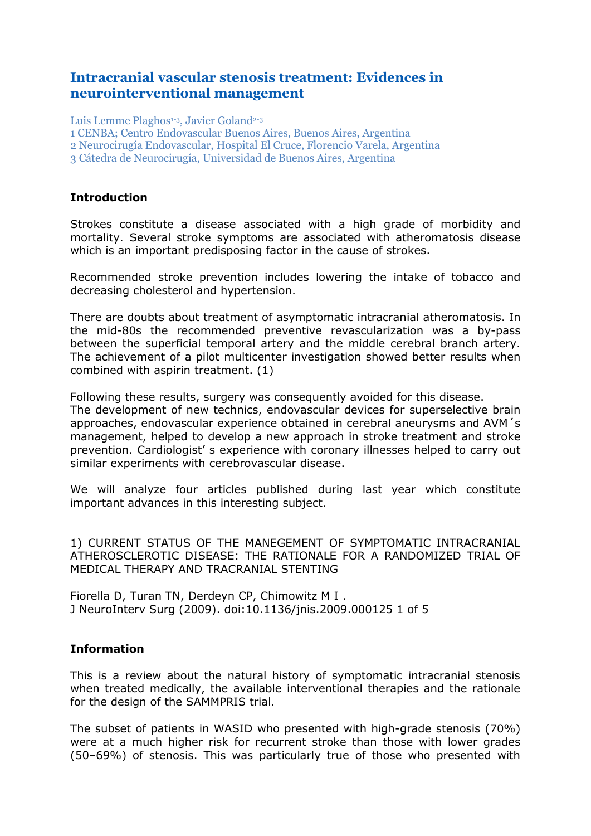# **Intracranial vascular stenosis treatment: Evidences in neurointerventional management**

Luis Lemme Plaghos<sup>1-3</sup>, Javier Goland<sup>2-3</sup>

1 CENBA; Centro Endovascular Buenos Aires, Buenos Aires, Argentina

2 Neurocirugía Endovascular, Hospital El Cruce, Florencio Varela, Argentina

3 Cátedra de Neurocirugía, Universidad de Buenos Aires, Argentina

#### **Introduction**

Strokes constitute a disease associated with a high grade of morbidity and mortality. Several stroke symptoms are associated with atheromatosis disease which is an important predisposing factor in the cause of strokes.

Recommended stroke prevention includes lowering the intake of tobacco and decreasing cholesterol and hypertension.

There are doubts about treatment of asymptomatic intracranial atheromatosis. In the mid-80s the recommended preventive revascularization was a by-pass between the superficial temporal artery and the middle cerebral branch artery. The achievement of a pilot multicenter investigation showed better results when combined with aspirin treatment. (1)

Following these results, surgery was consequently avoided for this disease. The development of new technics, endovascular devices for superselective brain approaches, endovascular experience obtained in cerebral aneurysms and AVM´s management, helped to develop a new approach in stroke treatment and stroke prevention. Cardiologist' s experience with coronary illnesses helped to carry out similar experiments with cerebrovascular disease.

We will analyze four articles published during last year which constitute important advances in this interesting subject.

1) CURRENT STATUS OF THE MANEGEMENT OF SYMPTOMATIC INTRACRANIAL ATHEROSCLEROTIC DISEASE: THE RATIONALE FOR A RANDOMIZED TRIAL OF MEDICAL THERAPY AND TRACRANIAL STENTING

Fiorella D, Turan TN, Derdeyn CP, Chimowitz M I . J NeuroInterv Surg (2009). doi:10.1136/jnis.2009.000125 1 of 5

### **Information**

This is a review about the natural history of symptomatic intracranial stenosis when treated medically, the available interventional therapies and the rationale for the design of the SAMMPRIS trial.

The subset of patients in WASID who presented with high-grade stenosis (70%) were at a much higher risk for recurrent stroke than those with lower grades (50–69%) of stenosis. This was particularly true of those who presented with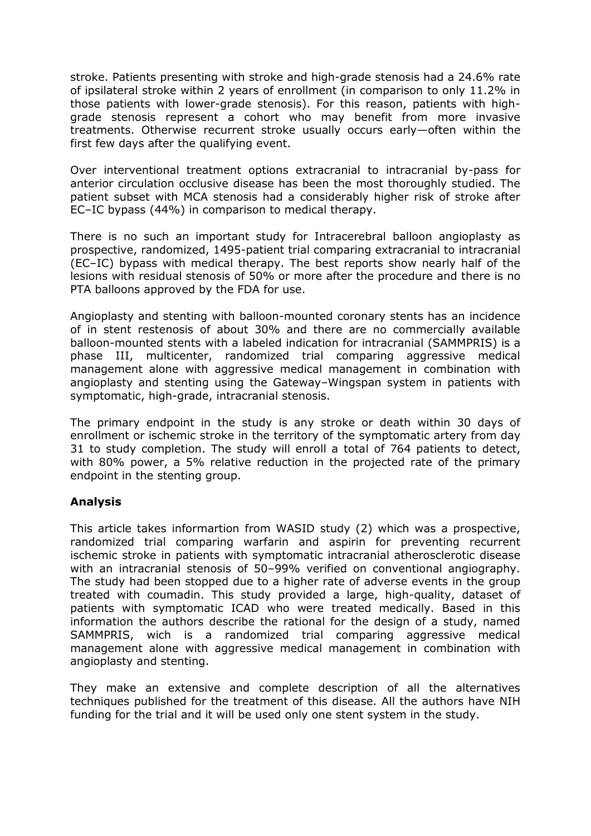stroke. Patients presenting with stroke and high-grade stenosis had a 24.6% rate of ipsilateral stroke within 2 years of enrollment (in comparison to only 11.2% in those patients with lower-grade stenosis). For this reason, patients with highgrade stenosis represent a cohort who may benefit from more invasive treatments. Otherwise recurrent stroke usually occurs early—often within the first few days after the qualifying event.

Over interventional treatment options extracranial to intracranial by-pass for anterior circulation occlusive disease has been the most thoroughly studied. The patient subset with MCA stenosis had a considerably higher risk of stroke after EC–IC bypass (44%) in comparison to medical therapy.

There is no such an important study for Intracerebral balloon angioplasty as prospective, randomized, 1495-patient trial comparing extracranial to intracranial (EC–IC) bypass with medical therapy. The best reports show nearly half of the lesions with residual stenosis of 50% or more after the procedure and there is no PTA balloons approved by the FDA for use.

Angioplasty and stenting with balloon-mounted coronary stents has an incidence of in stent restenosis of about 30% and there are no commercially available balloon-mounted stents with a labeled indication for intracranial (SAMMPRIS) is a phase III, multicenter, randomized trial comparing aggressive medical management alone with aggressive medical management in combination with angioplasty and stenting using the Gateway–Wingspan system in patients with symptomatic, high-grade, intracranial stenosis.

The primary endpoint in the study is any stroke or death within 30 days of enrollment or ischemic stroke in the territory of the symptomatic artery from day 31 to study completion. The study will enroll a total of 764 patients to detect, with 80% power, a 5% relative reduction in the projected rate of the primary endpoint in the stenting group.

## **Analysis**

This article takes informartion from WASID study (2) which was a prospective, randomized trial comparing warfarin and aspirin for preventing recurrent ischemic stroke in patients with symptomatic intracranial atherosclerotic disease with an intracranial stenosis of 50–99% verified on conventional angiography. The study had been stopped due to a higher rate of adverse events in the group treated with coumadin. This study provided a large, high-quality, dataset of patients with symptomatic ICAD who were treated medically. Based in this information the authors describe the rational for the design of a study, named SAMMPRIS, wich is a randomized trial comparing aggressive medical management alone with aggressive medical management in combination with angioplasty and stenting.

They make an extensive and complete description of all the alternatives techniques published for the treatment of this disease. All the authors have NIH funding for the trial and it will be used only one stent system in the study.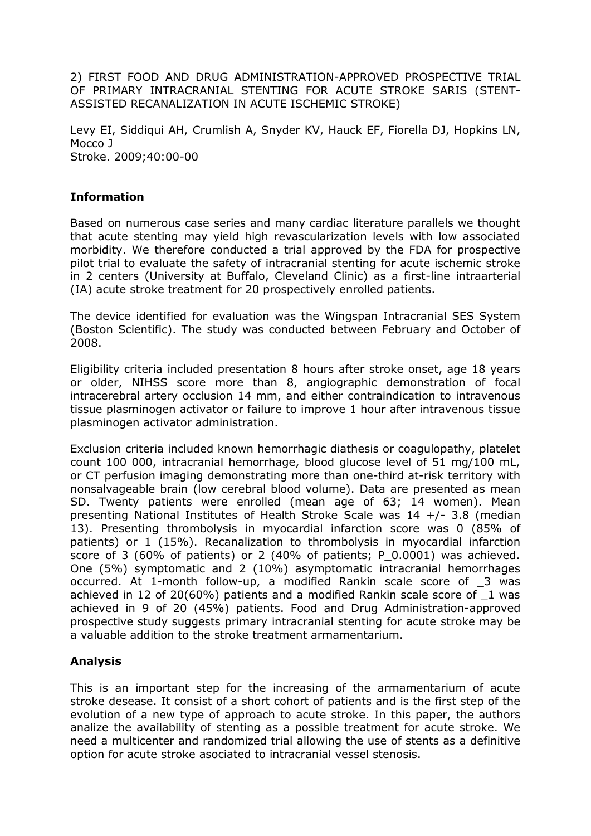2) FIRST FOOD AND DRUG ADMINISTRATION-APPROVED PROSPECTIVE TRIAL OF PRIMARY INTRACRANIAL STENTING FOR ACUTE STROKE SARIS (STENT-ASSISTED RECANALIZATION IN ACUTE ISCHEMIC STROKE)

Levy EI, Siddiqui AH, Crumlish A, Snyder KV, Hauck EF, Fiorella DJ, Hopkins LN, Mocco J Stroke. 2009;40:00-00

### **Information**

Based on numerous case series and many cardiac literature parallels we thought that acute stenting may yield high revascularization levels with low associated morbidity. We therefore conducted a trial approved by the FDA for prospective pilot trial to evaluate the safety of intracranial stenting for acute ischemic stroke in 2 centers (University at Buffalo, Cleveland Clinic) as a first-line intraarterial (IA) acute stroke treatment for 20 prospectively enrolled patients.

The device identified for evaluation was the Wingspan Intracranial SES System (Boston Scientific). The study was conducted between February and October of 2008.

Eligibility criteria included presentation 8 hours after stroke onset, age 18 years or older, NIHSS score more than 8, angiographic demonstration of focal intracerebral artery occlusion 14 mm, and either contraindication to intravenous tissue plasminogen activator or failure to improve 1 hour after intravenous tissue plasminogen activator administration.

Exclusion criteria included known hemorrhagic diathesis or coagulopathy, platelet count 100 000, intracranial hemorrhage, blood glucose level of 51 mg/100 mL, or CT perfusion imaging demonstrating more than one-third at-risk territory with nonsalvageable brain (low cerebral blood volume). Data are presented as mean SD. Twenty patients were enrolled (mean age of 63; 14 women). Mean presenting National Institutes of Health Stroke Scale was 14 +/- 3.8 (median 13). Presenting thrombolysis in myocardial infarction score was 0 (85% of patients) or 1 (15%). Recanalization to thrombolysis in myocardial infarction score of 3 (60% of patients) or 2 (40% of patients; P\_0.0001) was achieved. One (5%) symptomatic and 2 (10%) asymptomatic intracranial hemorrhages occurred. At 1-month follow-up, a modified Rankin scale score of \_3 was achieved in 12 of 20(60%) patients and a modified Rankin scale score of \_1 was achieved in 9 of 20 (45%) patients. Food and Drug Administration-approved prospective study suggests primary intracranial stenting for acute stroke may be a valuable addition to the stroke treatment armamentarium.

### **Analysis**

This is an important step for the increasing of the armamentarium of acute stroke desease. It consist of a short cohort of patients and is the first step of the evolution of a new type of approach to acute stroke. In this paper, the authors analize the availability of stenting as a possible treatment for acute stroke. We need a multicenter and randomized trial allowing the use of stents as a definitive option for acute stroke asociated to intracranial vessel stenosis.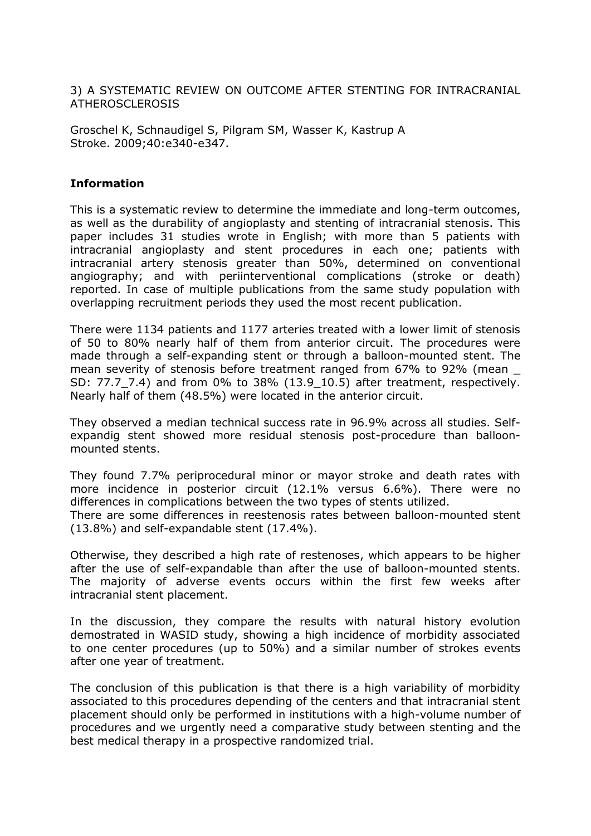3) A SYSTEMATIC REVIEW ON OUTCOME AFTER STENTING FOR INTRACRANIAL ATHEROSCLEROSIS

Groschel K, Schnaudigel S, Pilgram SM, Wasser K, Kastrup A Stroke. 2009;40:e340-e347.

#### **Information**

This is a systematic review to determine the immediate and long-term outcomes, as well as the durability of angioplasty and stenting of intracranial stenosis. This paper includes 31 studies wrote in English; with more than 5 patients with intracranial angioplasty and stent procedures in each one; patients with intracranial artery stenosis greater than 50%, determined on conventional angiography; and with periinterventional complications (stroke or death) reported. In case of multiple publications from the same study population with overlapping recruitment periods they used the most recent publication.

There were 1134 patients and 1177 arteries treated with a lower limit of stenosis of 50 to 80% nearly half of them from anterior circuit. The procedures were made through a self-expanding stent or through a balloon-mounted stent. The mean severity of stenosis before treatment ranged from 67% to 92% (mean \_ SD: 77.7 7.4) and from 0% to 38% (13.9 10.5) after treatment, respectively. Nearly half of them (48.5%) were located in the anterior circuit.

They observed a median technical success rate in 96.9% across all studies. Selfexpandig stent showed more residual stenosis post-procedure than balloonmounted stents.

They found 7.7% periprocedural minor or mayor stroke and death rates with more incidence in posterior circuit (12.1% versus 6.6%). There were no differences in complications between the two types of stents utilized.

There are some differences in reestenosis rates between balloon-mounted stent (13.8%) and self-expandable stent (17.4%).

Otherwise, they described a high rate of restenoses, which appears to be higher after the use of self-expandable than after the use of balloon-mounted stents. The majority of adverse events occurs within the first few weeks after intracranial stent placement.

In the discussion, they compare the results with natural history evolution demostrated in WASID study, showing a high incidence of morbidity associated to one center procedures (up to 50%) and a similar number of strokes events after one year of treatment.

The conclusion of this publication is that there is a high variability of morbidity associated to this procedures depending of the centers and that intracranial stent placement should only be performed in institutions with a high-volume number of procedures and we urgently need a comparative study between stenting and the best medical therapy in a prospective randomized trial.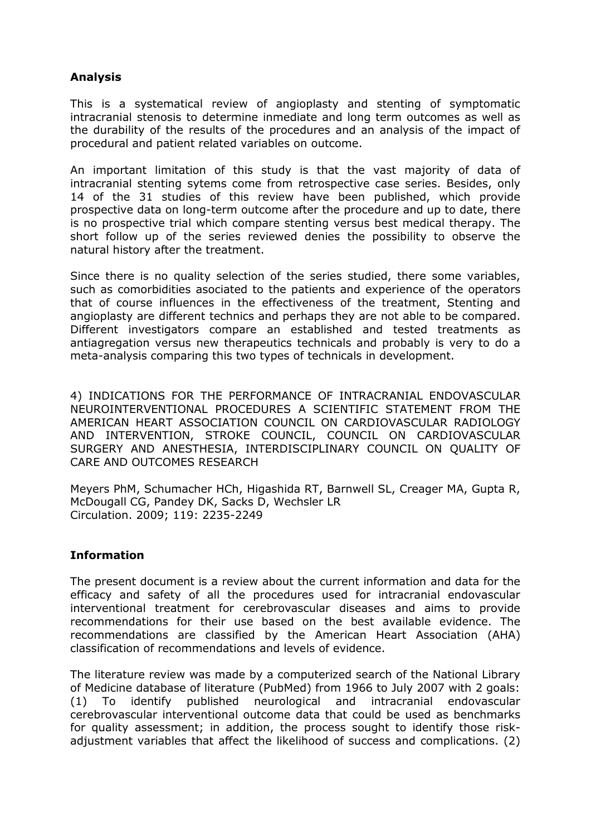## **Analysis**

This is a systematical review of angioplasty and stenting of symptomatic intracranial stenosis to determine inmediate and long term outcomes as well as the durability of the results of the procedures and an analysis of the impact of procedural and patient related variables on outcome.

An important limitation of this study is that the vast majority of data of intracranial stenting sytems come from retrospective case series. Besides, only 14 of the 31 studies of this review have been published, which provide prospective data on long-term outcome after the procedure and up to date, there is no prospective trial which compare stenting versus best medical therapy. The short follow up of the series reviewed denies the possibility to observe the natural history after the treatment.

Since there is no quality selection of the series studied, there some variables, such as comorbidities asociated to the patients and experience of the operators that of course influences in the effectiveness of the treatment, Stenting and angioplasty are different technics and perhaps they are not able to be compared. Different investigators compare an established and tested treatments as antiagregation versus new therapeutics technicals and probably is very to do a meta-analysis comparing this two types of technicals in development.

4) INDICATIONS FOR THE PERFORMANCE OF INTRACRANIAL ENDOVASCULAR NEUROINTERVENTIONAL PROCEDURES A SCIENTIFIC STATEMENT FROM THE AMERICAN HEART ASSOCIATION COUNCIL ON CARDIOVASCULAR RADIOLOGY AND INTERVENTION, STROKE COUNCIL, COUNCIL ON CARDIOVASCULAR SURGERY AND ANESTHESIA, INTERDISCIPLINARY COUNCIL ON QUALITY OF CARE AND OUTCOMES RESEARCH

Meyers PhM, Schumacher HCh, Higashida RT, Barnwell SL, Creager MA, Gupta R, McDougall CG, Pandey DK, Sacks D, Wechsler LR Circulation. 2009; 119: 2235-2249

## **Information**

The present document is a review about the current information and data for the efficacy and safety of all the procedures used for intracranial endovascular interventional treatment for cerebrovascular diseases and aims to provide recommendations for their use based on the best available evidence. The recommendations are classified by the American Heart Association (AHA) classification of recommendations and levels of evidence.

The literature review was made by a computerized search of the National Library of Medicine database of literature (PubMed) from 1966 to July 2007 with 2 goals: (1) To identify published neurological and intracranial endovascular cerebrovascular interventional outcome data that could be used as benchmarks for quality assessment; in addition, the process sought to identify those riskadjustment variables that affect the likelihood of success and complications. (2)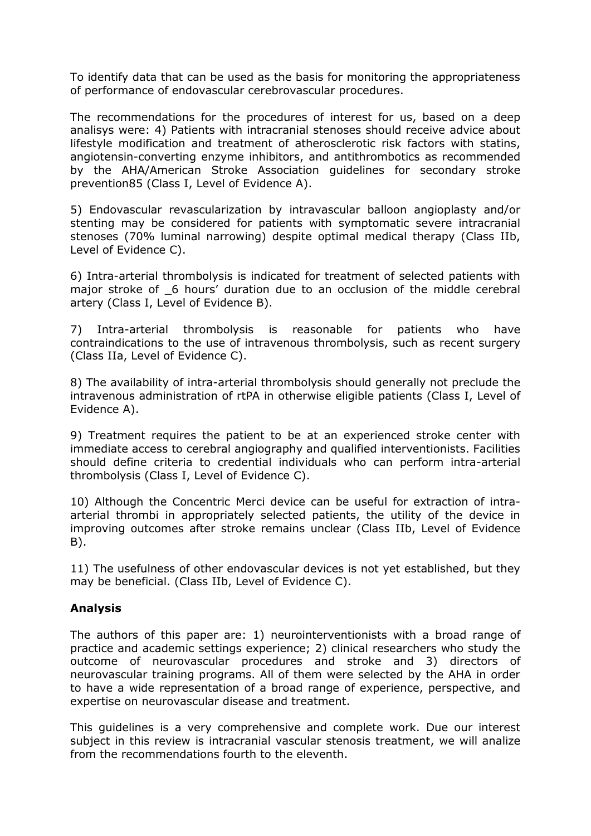To identify data that can be used as the basis for monitoring the appropriateness of performance of endovascular cerebrovascular procedures.

The recommendations for the procedures of interest for us, based on a deep analisys were: 4) Patients with intracranial stenoses should receive advice about lifestyle modification and treatment of atherosclerotic risk factors with statins, angiotensin-converting enzyme inhibitors, and antithrombotics as recommended by the AHA/American Stroke Association guidelines for secondary stroke prevention85 (Class I, Level of Evidence A).

5) Endovascular revascularization by intravascular balloon angioplasty and/or stenting may be considered for patients with symptomatic severe intracranial stenoses (70% luminal narrowing) despite optimal medical therapy (Class IIb, Level of Evidence C).

6) Intra-arterial thrombolysis is indicated for treatment of selected patients with major stroke of 6 hours' duration due to an occlusion of the middle cerebral artery (Class I, Level of Evidence B).

7) Intra-arterial thrombolysis is reasonable for patients who have contraindications to the use of intravenous thrombolysis, such as recent surgery (Class IIa, Level of Evidence C).

8) The availability of intra-arterial thrombolysis should generally not preclude the intravenous administration of rtPA in otherwise eligible patients (Class I, Level of Evidence A).

9) Treatment requires the patient to be at an experienced stroke center with immediate access to cerebral angiography and qualified interventionists. Facilities should define criteria to credential individuals who can perform intra-arterial thrombolysis (Class I, Level of Evidence C).

10) Although the Concentric Merci device can be useful for extraction of intraarterial thrombi in appropriately selected patients, the utility of the device in improving outcomes after stroke remains unclear (Class IIb, Level of Evidence B).

11) The usefulness of other endovascular devices is not yet established, but they may be beneficial. (Class IIb, Level of Evidence C).

## **Analysis**

The authors of this paper are: 1) neurointerventionists with a broad range of practice and academic settings experience; 2) clinical researchers who study the outcome of neurovascular procedures and stroke and 3) directors of neurovascular training programs. All of them were selected by the AHA in order to have a wide representation of a broad range of experience, perspective, and expertise on neurovascular disease and treatment.

This guidelines is a very comprehensive and complete work. Due our interest subject in this review is intracranial vascular stenosis treatment, we will analize from the recommendations fourth to the eleventh.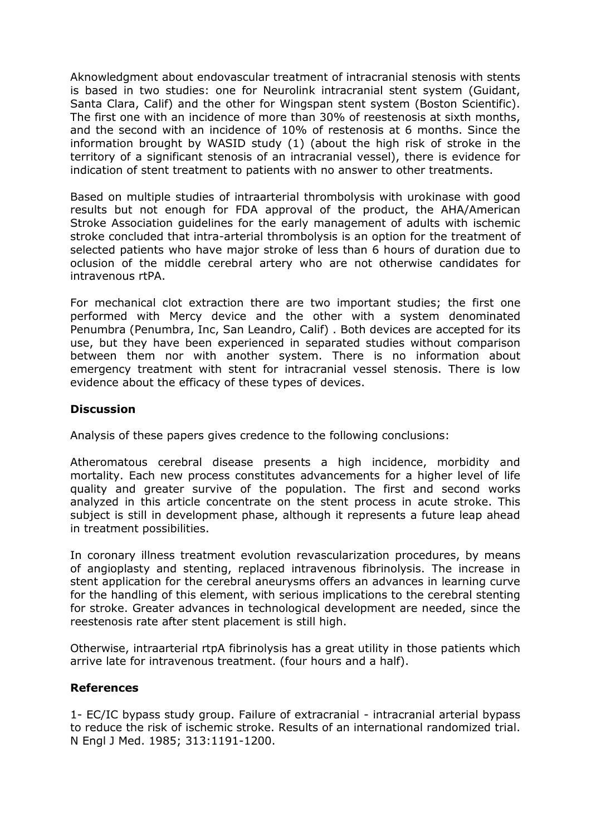Aknowledgment about endovascular treatment of intracranial stenosis with stents is based in two studies: one for Neurolink intracranial stent system (Guidant, Santa Clara, Calif) and the other for Wingspan stent system (Boston Scientific). The first one with an incidence of more than 30% of reestenosis at sixth months, and the second with an incidence of 10% of restenosis at 6 months. Since the information brought by WASID study (1) (about the high risk of stroke in the territory of a significant stenosis of an intracranial vessel), there is evidence for indication of stent treatment to patients with no answer to other treatments.

Based on multiple studies of intraarterial thrombolysis with urokinase with good results but not enough for FDA approval of the product, the AHA/American Stroke Association guidelines for the early management of adults with ischemic stroke concluded that intra-arterial thrombolysis is an option for the treatment of selected patients who have major stroke of less than 6 hours of duration due to oclusion of the middle cerebral artery who are not otherwise candidates for intravenous rtPA.

For mechanical clot extraction there are two important studies; the first one performed with Mercy device and the other with a system denominated Penumbra (Penumbra, Inc, San Leandro, Calif) . Both devices are accepted for its use, but they have been experienced in separated studies without comparison between them nor with another system. There is no information about emergency treatment with stent for intracranial vessel stenosis. There is low evidence about the efficacy of these types of devices.

### **Discussion**

Analysis of these papers gives credence to the following conclusions:

Atheromatous cerebral disease presents a high incidence, morbidity and mortality. Each new process constitutes advancements for a higher level of life quality and greater survive of the population. The first and second works analyzed in this article concentrate on the stent process in acute stroke. This subject is still in development phase, although it represents a future leap ahead in treatment possibilities.

In coronary illness treatment evolution revascularization procedures, by means of angioplasty and stenting, replaced intravenous fibrinolysis. The increase in stent application for the cerebral aneurysms offers an advances in learning curve for the handling of this element, with serious implications to the cerebral stenting for stroke. Greater advances in technological development are needed, since the reestenosis rate after stent placement is still high.

Otherwise, intraarterial rtpA fibrinolysis has a great utility in those patients which arrive late for intravenous treatment. (four hours and a half).

#### **References**

1- EC/IC bypass study group. Failure of extracranial - intracranial arterial bypass to reduce the risk of ischemic stroke. Results of an international randomized trial. N Engl J Med. 1985; 313:1191-1200.